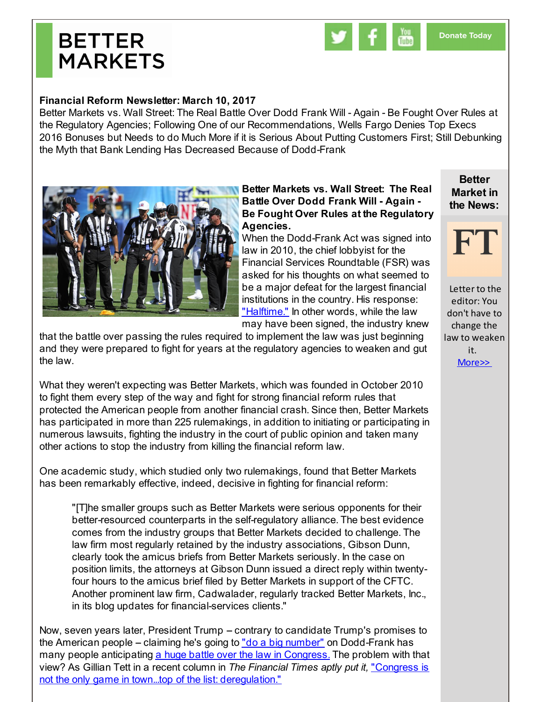## **BETTER MARKETS**



## **Financial Reform Newsletter: March 10, 2017**

Better Markets vs. Wall Street: The Real Battle Over Dodd Frank Will - Again - Be Fought Over Rules at the Regulatory Agencies; Following One of our Recommendations, Wells Fargo Denies Top Execs 2016 Bonuses but Needs to do Much More if it is Serious About Putting Customers First; Still Debunking the Myth that Bank Lending Has Decreased Because of Dodd-Frank



## **Better Markets vs. Wall Street: The Real Battle Over Dodd Frank Will - Again - Be Fought Over Rules at the Regulatory Agencies.**

When the Dodd-Frank Act was signed into law in 2010, the chief lobbyist for the Financial Services Roundtable (FSR) was asked for his thoughts on what seemed to be a major defeat for the largest financial institutions in the country. His response: ["Halftime."](http://r20.rs6.net/tn.jsp?f=001_dph5Nk82jxThh0ad0QtJY8cf3PzZHcdY0EnxcI8OhFA4PrAbqolPcD9FvJbaQzRexq55v1rLYf6WoAD47ITRJyu93IKBUhx94RF4G48HbXQ9YHd8HRwE1pxkTxHNd_Pzur3zKNDdZGni0ON38BN2oJXdpRISBRaPzPKZsDUbYMhBmAtlDM35RI99eOnLYnxtRShnl2v-z11164ISt-7ID1cgcqisjWGL5ttQGAo30Jd5WM00GmtNA==&c=&ch=) In other words, while the law may have been signed, the industry knew

**Better Market in the News:**



Letter to the editor: You don't have to change the law to weaken it. [More>>](http://r20.rs6.net/tn.jsp?f=001_dph5Nk82jxThh0ad0QtJY8cf3PzZHcdY0EnxcI8OhFA4PrAbqolPTSPKViJIASNphmDvlRe9HHdxgkVMp7TIaLo9CztHbxfD3lWc0bEQJe21jzLIwDCeJfdr3tITVdnS2wdEhEsZh3_ksZiwSY0gloCzp3_gQgeCsjQ0ecIZYEL3aflzpSIXeABuBbsOk12dqpI3Sb-IIULsE-er6-JuX2Mpw479kPj&c=&ch=)

that the battle over passing the rules required to implement the law was just beginning and they were prepared to fight for years at the regulatory agencies to weaken and gut the law.

What they weren't expecting was Better Markets, which was founded in October 2010 to fight them every step of the way and fight for strong financial reform rules that protected the American people from another financial crash. Since then, Better Markets has participated in more than 225 rulemakings, in addition to initiating or participating in numerous lawsuits, fighting the industry in the court of public opinion and taken many other actions to stop the industry from killing the financial reform law.

One academic study, which studied only two rulemakings, found that Better Markets has been remarkably effective, indeed, decisive in fighting for financial reform:

"[T]he smaller groups such as Better Markets were serious opponents for their better-resourced counterparts in the self-regulatory alliance. The best evidence comes from the industry groups that Better Markets decided to challenge. The law firm most regularly retained by the industry associations, Gibson Dunn, clearly took the amicus briefs from Better Markets seriously. In the case on position limits, the attorneys at Gibson Dunn issued a direct reply within twentyfour hours to the amicus brief filed by Better Markets in support of the CFTC. Another prominent law firm, Cadwalader, regularly tracked Better Markets, Inc., in its blog updates for financial-services clients."

Now, seven years later, President Trump – contrary to candidate Trump's promises to the American people – claiming he's going to "do a big [number"](http://r20.rs6.net/tn.jsp?f=001_dph5Nk82jxThh0ad0QtJY8cf3PzZHcdY0EnxcI8OhFA4PrAbqolPTSPKViJIASNAxlwu0OfzBsUF1NzN50-tUStjrpI7e8WmW2pyvVxYCvYbHajB33pTD9NkalgDnOOSEERYH9UB7K_wLyb7Ltg6JMuWBM80U_E5KuVPbEDTc3oQ-h0wWTF_qHjuCFsiZE7Is9zs9eDZV3Tiw_ERZlHSzJvuCjpPRYDkcbkODKTMVh6XPluQXnKh4V84RgkkSmR&c=&ch=) on Dodd-Frank has many people anticipating a huge battle over the law in [Congress.](http://r20.rs6.net/tn.jsp?f=001_dph5Nk82jxThh0ad0QtJY8cf3PzZHcdY0EnxcI8OhFA4PrAbqolPTSPKViJIASN8uDHgPfhcZL4A3DUK8E8pegteegN6X76f17HEQBoQskenc54RnkBsX2B9mgY7XUhPxDJiusGQt2wCEG-nEsgWQeyb-wYDy3dpRLe-SwwNi6Il_UVK7Xx7hpSCYfESRL6Fhsn117Q9GoL4RzChn2OBp1dPkkkTU9qUzOTdiXGhauYDYowR1Mf8Ik9HBqbz1zngQeFnIZPIqo=&c=&ch=) The problem with that view? As Gillian Tett in a recent column in *The Financial Times aptly put it,* "Congress is not the only game in town...top of the list: [deregulation."](http://r20.rs6.net/tn.jsp?f=001_dph5Nk82jxThh0ad0QtJY8cf3PzZHcdY0EnxcI8OhFA4PrAbqolPTSPKViJIASNSYIRvd9V8E6pFVOnccSjZpanl6tT8IEtQPxIeweTY9-4n7flscRzi8d3UxxN0AkPjrWzBSxkC2Bc-gGrjQh1ygpXAVPZKBdC6Uq6hZV-0QA0-lW1VCQFBLPSYZPZ5QCsirsAnFehpt6y-vqFUffA1p0yiiA6d9zA&c=&ch=)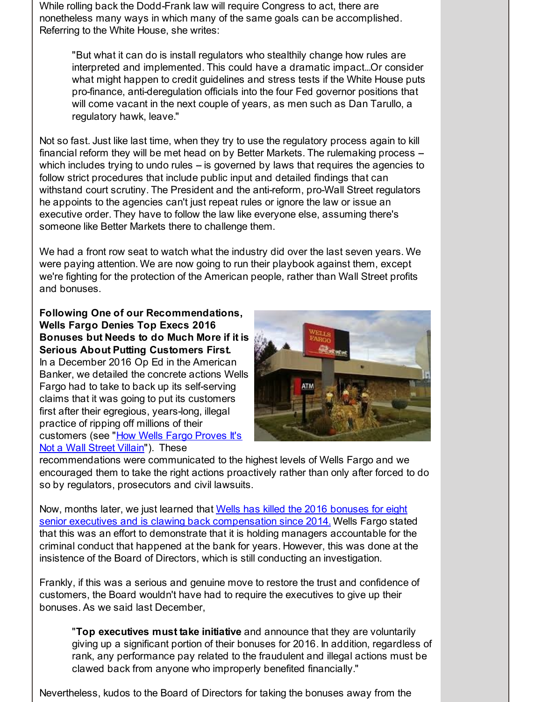While rolling back the Dodd-Frank law will require Congress to act, there are nonetheless many ways in which many of the same goals can be accomplished. Referring to the White House, she writes:

"But what it can do is install regulators who stealthily change how rules are interpreted and implemented. This could have a dramatic impact...Or consider what might happen to credit guidelines and stress tests if the White House puts pro-finance, anti-deregulation officials into the four Fed governor positions that will come vacant in the next couple of years, as men such as Dan Tarullo, a regulatory hawk, leave."

Not so fast. Just like last time, when they try to use the regulatory process again to kill financial reform they will be met head on by Better Markets. The rulemaking process  $$ which includes trying to undo rules  $-$  is governed by laws that requires the agencies to follow strict procedures that include public input and detailed findings that can withstand court scrutiny. The President and the anti-reform, pro-Wall Street regulators he appoints to the agencies can't just repeat rules or ignore the law or issue an executive order. They have to follow the law like everyone else, assuming there's someone like Better Markets there to challenge them.

We had a front row seat to watch what the industry did over the last seven years. We were paying attention. We are now going to run their playbook against them, except we're fighting for the protection of the American people, rather than Wall Street profits and bonuses.

**Following One of our Recommendations, Wells Fargo Denies Top Execs 2016 Bonuses but Needs to do Much More if it is Serious About Putting Customers First.** In a December 2016 Op Ed in the American Banker, we detailed the concrete actions Wells Fargo had to take to back up its self-serving claims that it was going to put its customers first after their egregious, years-long, illegal practice of ripping off millions of their [customers](http://r20.rs6.net/tn.jsp?f=001_dph5Nk82jxThh0ad0QtJY8cf3PzZHcdY0EnxcI8OhFA4PrAbqolPTSPKViJIASN_KgJERMAFYp4dFbDhx1z-L_oCLgWR9OZ2kWLP-GkJ1mUnaoGDMVGbEdYSdrpEmyTCKCi7fk8VKhxQrnU-jh8YsLfZmTcD0CP3LMUkWu-XRcmnQVeBqS9cCEgnhMqwsjcELpqjdWLaU1D8auInhDfDcy1SsIAQxjp_LgYPMAwdb_599WB2CPfo2OM1djs0vd2G2gLB1DPrb3vMWBh2l_vvg==&c=&ch=) (see "How Wells Fargo Proves It's Not a Wall Street Villain"). These



recommendations were communicated to the highest levels of Wells Fargo and we encouraged them to take the right actions proactively rather than only after forced to do so by regulators, prosecutors and civil lawsuits.

Now, months later, we just learned that Wells has killed the 2016 bonuses for eight senior executives and is clawing back [compensation](http://r20.rs6.net/tn.jsp?f=001_dph5Nk82jxThh0ad0QtJY8cf3PzZHcdY0EnxcI8OhFA4PrAbqolPTSPKViJIASNGz5F4Op8TqTCM0dEgTvyK-dV4ZmM4q1za5h5EPF_l00feY4p1KwzrcX9tCI0ciwbcO1evB8Yf7YsKSO5ZS3_A0Kg3TJGc3yYAHDSK16VTvD9jV0pVcmBRYLWh1JEOaYcDAYw3eN77FQ5psigeVH87FclI-GZjMCISg-bP0Ai74QuLf-1_yl2JggFPLuA0yxFAAvU2HsMlbD9OlS6WHVrs-F_q1Aas1qDNFP_o0Kb-iM=&c=&ch=) since 2014. Wells Fargo stated that this was an effort to demonstrate that it is holding managers accountable for the criminal conduct that happened at the bank for years. However, this was done at the insistence of the Board of Directors, which is still conducting an investigation.

Frankly, if this was a serious and genuine move to restore the trust and confidence of customers, the Board wouldn't have had to require the executives to give up their bonuses. As we said last December,

"**Top executives must take initiative** and announce that they are voluntarily giving up a significant portion of their bonuses for 2016. In addition, regardless of rank, any performance pay related to the fraudulent and illegal actions must be clawed back from anyone who improperly benefited financially."

Nevertheless, kudos to the Board of Directors for taking the bonuses away from the